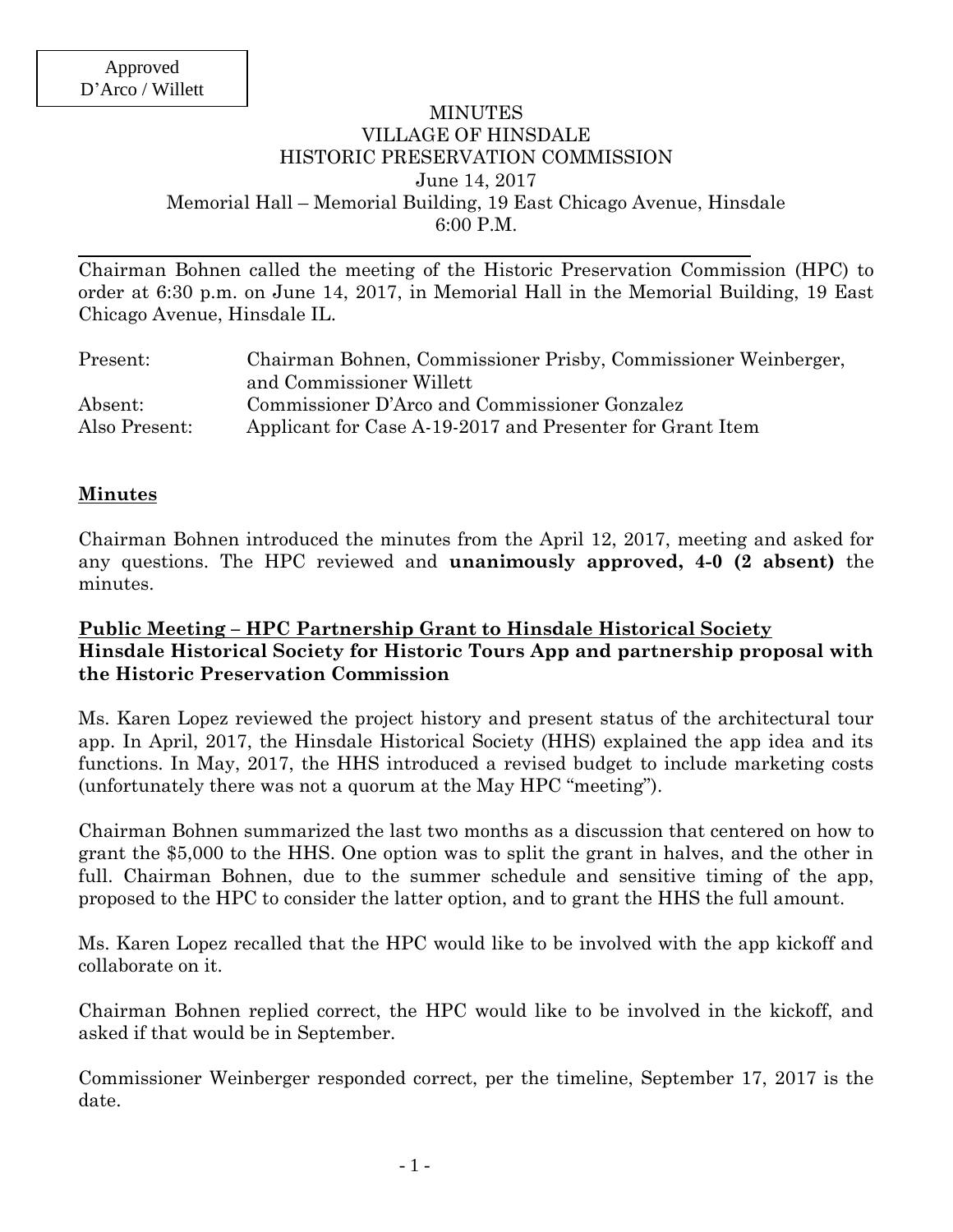### MINUTES VILLAGE OF HINSDALE HISTORIC PRESERVATION COMMISSION June 14, 2017 Memorial Hall – Memorial Building, 19 East Chicago Avenue, Hinsdale 6:00 P.M.

Chairman Bohnen called the meeting of the Historic Preservation Commission (HPC) to order at 6:30 p.m. on June 14, 2017, in Memorial Hall in the Memorial Building, 19 East Chicago Avenue, Hinsdale IL.

| Present:      | Chairman Bohnen, Commissioner Prisby, Commissioner Weinberger, |
|---------------|----------------------------------------------------------------|
|               | and Commissioner Willett                                       |
| Absent:       | Commissioner D'Arco and Commissioner Gonzalez                  |
| Also Present: | Applicant for Case A-19-2017 and Presenter for Grant Item      |

#### **Minutes**

Chairman Bohnen introduced the minutes from the April 12, 2017, meeting and asked for any questions. The HPC reviewed and **unanimously approved, 4-0 (2 absent)** the minutes.

### **Public Meeting – HPC Partnership Grant to Hinsdale Historical Society Hinsdale Historical Society for Historic Tours App and partnership proposal with the Historic Preservation Commission**

Ms. Karen Lopez reviewed the project history and present status of the architectural tour app. In April, 2017, the Hinsdale Historical Society (HHS) explained the app idea and its functions. In May, 2017, the HHS introduced a revised budget to include marketing costs (unfortunately there was not a quorum at the May HPC "meeting").

Chairman Bohnen summarized the last two months as a discussion that centered on how to grant the \$5,000 to the HHS. One option was to split the grant in halves, and the other in full. Chairman Bohnen, due to the summer schedule and sensitive timing of the app, proposed to the HPC to consider the latter option, and to grant the HHS the full amount.

Ms. Karen Lopez recalled that the HPC would like to be involved with the app kickoff and collaborate on it.

Chairman Bohnen replied correct, the HPC would like to be involved in the kickoff, and asked if that would be in September.

Commissioner Weinberger responded correct, per the timeline, September 17, 2017 is the date.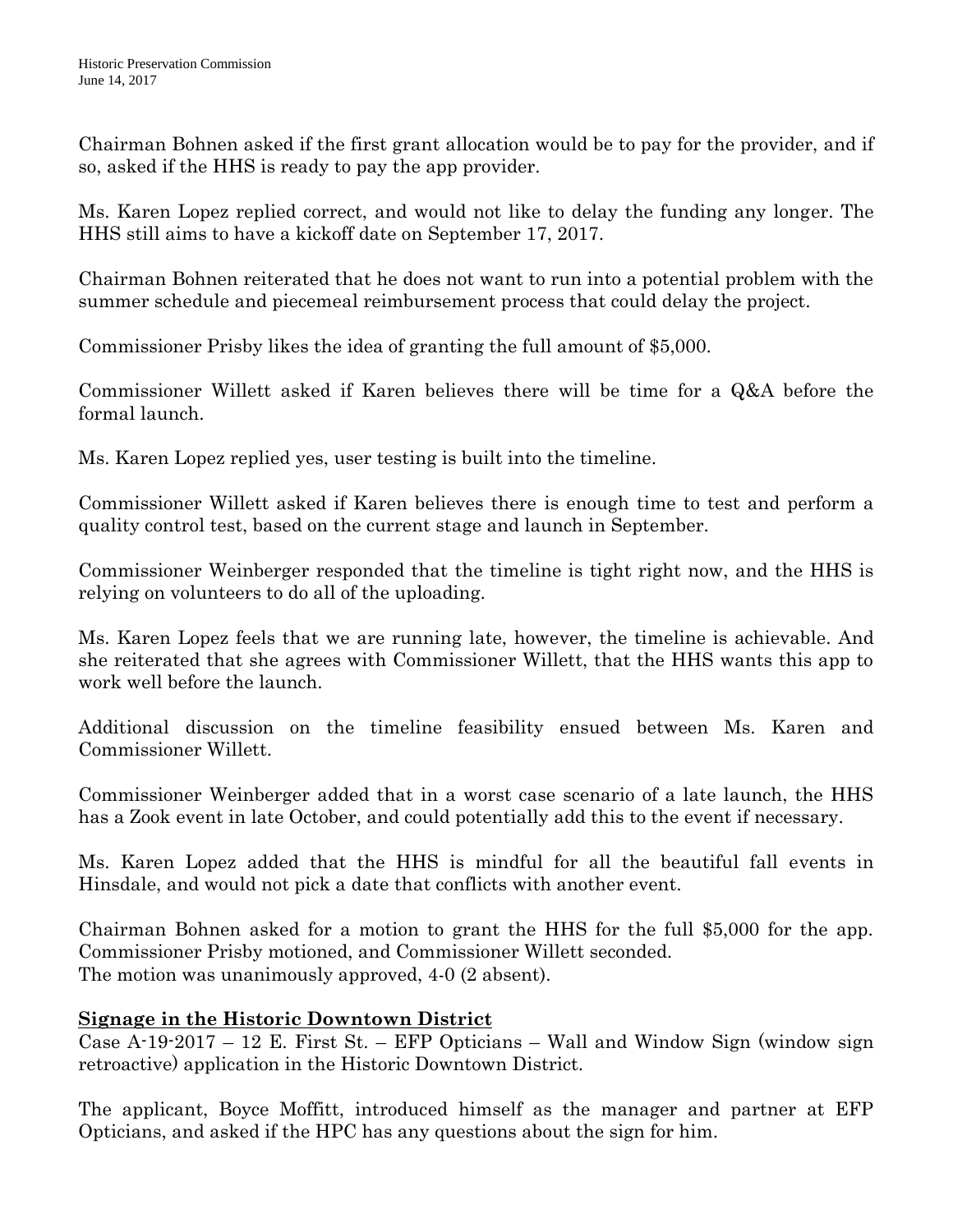Chairman Bohnen asked if the first grant allocation would be to pay for the provider, and if so, asked if the HHS is ready to pay the app provider.

Ms. Karen Lopez replied correct, and would not like to delay the funding any longer. The HHS still aims to have a kickoff date on September 17, 2017.

Chairman Bohnen reiterated that he does not want to run into a potential problem with the summer schedule and piecemeal reimbursement process that could delay the project.

Commissioner Prisby likes the idea of granting the full amount of \$5,000.

Commissioner Willett asked if Karen believes there will be time for a Q&A before the formal launch.

Ms. Karen Lopez replied yes, user testing is built into the timeline.

Commissioner Willett asked if Karen believes there is enough time to test and perform a quality control test, based on the current stage and launch in September.

Commissioner Weinberger responded that the timeline is tight right now, and the HHS is relying on volunteers to do all of the uploading.

Ms. Karen Lopez feels that we are running late, however, the timeline is achievable. And she reiterated that she agrees with Commissioner Willett, that the HHS wants this app to work well before the launch.

Additional discussion on the timeline feasibility ensued between Ms. Karen and Commissioner Willett.

Commissioner Weinberger added that in a worst case scenario of a late launch, the HHS has a Zook event in late October, and could potentially add this to the event if necessary.

Ms. Karen Lopez added that the HHS is mindful for all the beautiful fall events in Hinsdale, and would not pick a date that conflicts with another event.

Chairman Bohnen asked for a motion to grant the HHS for the full \$5,000 for the app. Commissioner Prisby motioned, and Commissioner Willett seconded. The motion was unanimously approved, 4-0 (2 absent).

# **Signage in the Historic Downtown District**

Case A-19-2017 – 12 E. First St. – EFP Opticians – Wall and Window Sign (window sign retroactive) application in the Historic Downtown District.

The applicant, Boyce Moffitt, introduced himself as the manager and partner at EFP Opticians, and asked if the HPC has any questions about the sign for him.